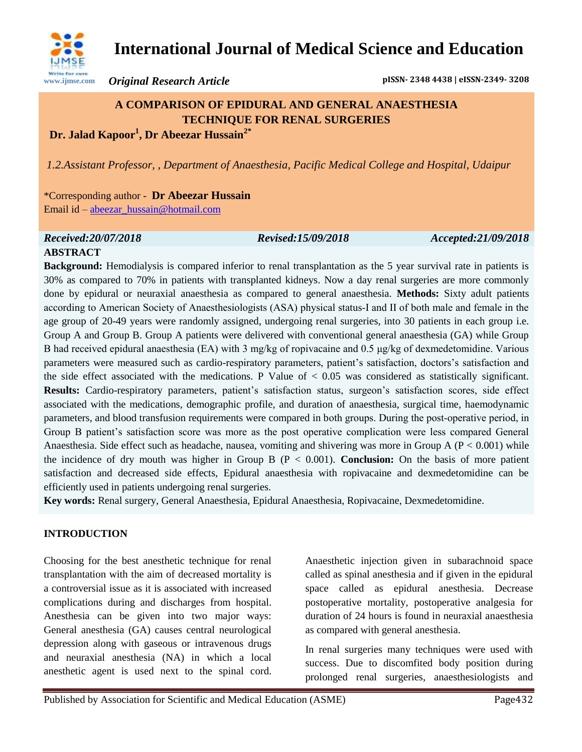

# **International Journal of Medical Science and Education**

*Original Research Article* **pISSN- 2348 4438 | eISSN-2349- 3208**

## **A COMPARISON OF EPIDURAL AND GENERAL ANAESTHESIA TECHNIQUE FOR RENAL SURGERIES Dr. Jalad Kapoor<sup>1</sup> , Dr Abeezar Hussain2\***

*1.2.Assistant Professor, , Department of Anaesthesia, Pacific Medical College and Hospital, Udaipur* 

\*Corresponding author - **Dr Abeezar Hussain** Email id – [abeezar\\_hussain@hotmail.com](mailto:abeezar_hussain@hotmail.com)

# *Received:20/07/2018 Revised:15/09/2018 Accepted:21/09/2018*

## **ABSTRACT**

**Background:** Hemodialysis is compared inferior to renal transplantation as the 5 year survival rate in patients is 30% as compared to 70% in patients with transplanted kidneys. Now a day renal surgeries are more commonly done by epidural or neuraxial anaesthesia as compared to general anaesthesia. **Methods:** Sixty adult patients according to American Society of Anaesthesiologists (ASA) physical status-I and II of both male and female in the age group of 20-49 years were randomly assigned, undergoing renal surgeries, into 30 patients in each group i.e. Group A and Group B. Group A patients were delivered with conventional general anaesthesia (GA) while Group B had received epidural anaesthesia (EA) with 3 mg/kg of ropivacaine and 0.5 μg/kg of dexmedetomidine. Various parameters were measured such as cardio-respiratory parameters, patient's satisfaction, doctors's satisfaction and the side effect associated with the medications. P Value of  $< 0.05$  was considered as statistically significant. **Results:** Cardio-respiratory parameters, patient's satisfaction status, surgeon's satisfaction scores, side effect associated with the medications, demographic profile, and duration of anaesthesia, surgical time, haemodynamic parameters, and blood transfusion requirements were compared in both groups. During the post-operative period, in Group B patient's satisfaction score was more as the post operative complication were less compared General Anaesthesia. Side effect such as headache, nausea, vomiting and shivering was more in Group A ( $P < 0.001$ ) while the incidence of dry mouth was higher in Group B (P < 0.001). **Conclusion:** On the basis of more patient satisfaction and decreased side effects, Epidural anaesthesia with ropivacaine and dexmedetomidine can be efficiently used in patients undergoing renal surgeries.

**Key words:** Renal surgery, General Anaesthesia, Epidural Anaesthesia, Ropivacaine, Dexmedetomidine.

### **INTRODUCTION**

Choosing for the best anesthetic technique for renal transplantation with the aim of decreased mortality is a controversial issue as it is associated with increased complications during and discharges from hospital. Anesthesia can be given into two major ways: General anesthesia (GA) causes central neurological depression along with gaseous or intravenous drugs and neuraxial anesthesia (NA) in which a local anesthetic agent is used next to the spinal cord.

Anaesthetic injection given in subarachnoid space called as spinal anesthesia and if given in the epidural space called as epidural anesthesia. Decrease postoperative mortality, postoperative analgesia for duration of 24 hours is found in neuraxial anaesthesia as compared with general anesthesia.

In renal surgeries many techniques were used with success. Due to discomfited body position during prolonged renal surgeries, anaesthesiologists and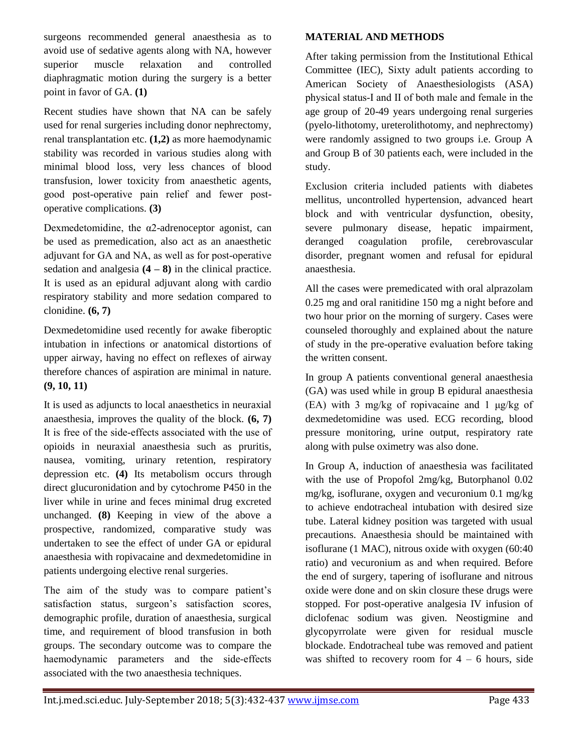surgeons recommended general anaesthesia as to avoid use of sedative agents along with NA, however superior muscle relaxation and controlled diaphragmatic motion during the surgery is a better point in favor of GA. **(1)**

Recent studies have shown that NA can be safely used for renal surgeries including donor nephrectomy, renal transplantation etc. **(1,2)** as more haemodynamic stability was recorded in various studies along with minimal blood loss, very less chances of blood transfusion, lower toxicity from anaesthetic agents, good post‑operative pain relief and fewer postoperative complications. **(3)**

Dexmedetomidine, the  $\alpha$ 2-adrenoceptor agonist, can be used as premedication, also act as an anaesthetic adjuvant for GA and NA, as well as for post-operative sedation and analgesia  $(4 - 8)$  in the clinical practice. It is used as an epidural adjuvant along with cardio respiratory stability and more sedation compared to clonidine. **(6, 7)**

Dexmedetomidine used recently for awake fiberoptic intubation in infections or anatomical distortions of upper airway, having no effect on reflexes of airway therefore chances of aspiration are minimal in nature. **(9, 10, 11)**

It is used as adjuncts to local anaesthetics in neuraxial anaesthesia, improves the quality of the block. **(6, 7)** It is free of the side-effects associated with the use of opioids in neuraxial anaesthesia such as pruritis, nausea, vomiting, urinary retention, respiratory depression etc. **(4)** Its metabolism occurs through direct glucuronidation and by cytochrome P450 in the liver while in urine and feces minimal drug excreted unchanged. **(8)** Keeping in view of the above a prospective, randomized, comparative study was undertaken to see the effect of under GA or epidural anaesthesia with ropivacaine and dexmedetomidine in patients undergoing elective renal surgeries.

The aim of the study was to compare patient's satisfaction status, surgeon's satisfaction scores, demographic profile, duration of anaesthesia, surgical time, and requirement of blood transfusion in both groups. The secondary outcome was to compare the haemodynamic parameters and the side-effects associated with the two anaesthesia techniques.

#### **MATERIAL AND METHODS**

After taking permission from the Institutional Ethical Committee (IEC), Sixty adult patients according to American Society of Anaesthesiologists (ASA) physical status‑I and II of both male and female in the age group of 20-49 years undergoing renal surgeries (pyelo-lithotomy, ureterolithotomy, and nephrectomy) were randomly assigned to two groups i.e. Group A and Group B of 30 patients each, were included in the study.

Exclusion criteria included patients with diabetes mellitus, uncontrolled hypertension, advanced heart block and with ventricular dysfunction, obesity, severe pulmonary disease, hepatic impairment, deranged coagulation profile, cerebrovascular disorder, pregnant women and refusal for epidural anaesthesia.

All the cases were premedicated with oral alprazolam 0.25 mg and oral ranitidine 150 mg a night before and two hour prior on the morning of surgery. Cases were counseled thoroughly and explained about the nature of study in the pre‑operative evaluation before taking the written consent.

In group A patients conventional general anaesthesia (GA) was used while in group B epidural anaesthesia (EA) with 3 mg/kg of ropivacaine and 1 μg/kg of dexmedetomidine was used. ECG recording, blood pressure monitoring, urine output, respiratory rate along with pulse oximetry was also done.

In Group A, induction of anaesthesia was facilitated with the use of Propofol 2mg/kg, Butorphanol 0.02 mg/kg, isoflurane, oxygen and vecuronium 0.1 mg/kg to achieve endotracheal intubation with desired size tube. Lateral kidney position was targeted with usual precautions. Anaesthesia should be maintained with isoflurane (1 MAC), nitrous oxide with oxygen (60:40 ratio) and vecuronium as and when required. Before the end of surgery, tapering of isoflurane and nitrous oxide were done and on skin closure these drugs were stopped. For post-operative analgesia IV infusion of diclofenac sodium was given. Neostigmine and glycopyrrolate were given for residual muscle blockade. Endotracheal tube was removed and patient was shifted to recovery room for  $4 - 6$  hours, side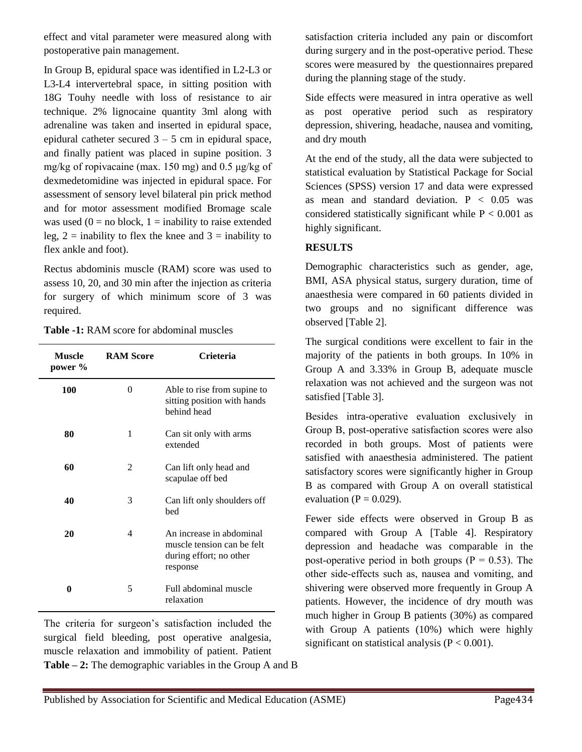effect and vital parameter were measured along with postoperative pain management.

In Group B, epidural space was identified in L2-L3 or L3-L4 intervertebral space, in sitting position with 18G Touhy needle with loss of resistance to air technique. 2% lignocaine quantity 3ml along with adrenaline was taken and inserted in epidural space, epidural catheter secured  $3 - 5$  cm in epidural space, and finally patient was placed in supine position. 3 mg/kg of ropivacaine (max. 150 mg) and 0.5 μg/kg of dexmedetomidine was injected in epidural space. For assessment of sensory level bilateral pin prick method and for motor assessment modified Bromage scale was used  $(0 = no block, 1 = inability to raise extended)$ leg,  $2 =$  inability to flex the knee and  $3 =$  inability to flex ankle and foot).

Rectus abdominis muscle (RAM) score was used to assess 10, 20, and 30 min after the injection as criteria for surgery of which minimum score of 3 was required.

**Table -1:** RAM score for abdominal muscles

| <b>Muscle</b><br>power % | <b>RAM Score</b> | Crieteria                                                                                     |
|--------------------------|------------------|-----------------------------------------------------------------------------------------------|
| 100                      | 0                | Able to rise from supine to<br>sitting position with hands<br>behind head                     |
| 80                       | 1                | Can sit only with arms<br>extended                                                            |
| 60                       | 2                | Can lift only head and<br>scapulae off bed                                                    |
| 40                       | 3                | Can lift only shoulders off<br>bed                                                            |
| 20                       | 4                | An increase in abdominal<br>muscle tension can be felt<br>during effort; no other<br>response |
| 0                        | 5                | Full abdominal muscle<br>relaxation                                                           |

The criteria for surgeon's satisfaction included the surgical field bleeding, post operative analgesia, muscle relaxation and immobility of patient. Patient **Table – 2:** The demographic variables in the Group A and B satisfaction criteria included any pain or discomfort during surgery and in the post-operative period. These scores were measured by the questionnaires prepared during the planning stage of the study.

Side effects were measured in intra operative as well as post operative period such as respiratory depression, shivering, headache, nausea and vomiting, and dry mouth

At the end of the study, all the data were subjected to statistical evaluation by Statistical Package for Social Sciences (SPSS) version 17 and data were expressed as mean and standard deviation.  $P < 0.05$  was considered statistically significant while  $P < 0.001$  as highly significant.

#### **RESULTS**

Demographic characteristics such as gender, age, BMI, ASA physical status, surgery duration, time of anaesthesia were compared in 60 patients divided in two groups and no significant difference was observed [Table 2].

The surgical conditions were excellent to fair in the majority of the patients in both groups. In 10% in Group A and 3.33% in Group B, adequate muscle relaxation was not achieved and the surgeon was not satisfied [Table 3].

Besides intra‑operative evaluation exclusively in Group B, post-operative satisfaction scores were also recorded in both groups. Most of patients were satisfied with anaesthesia administered. The patient satisfactory scores were significantly higher in Group B as compared with Group A on overall statistical evaluation ( $P = 0.029$ ).

Fewer side effects were observed in Group B as compared with Group A [Table 4]. Respiratory depression and headache was comparable in the post-operative period in both groups ( $P = 0.53$ ). The other side‑effects such as, nausea and vomiting, and shivering were observed more frequently in Group A patients. However, the incidence of dry mouth was much higher in Group B patients (30%) as compared with Group A patients (10%) which were highly significant on statistical analysis  $(P < 0.001)$ .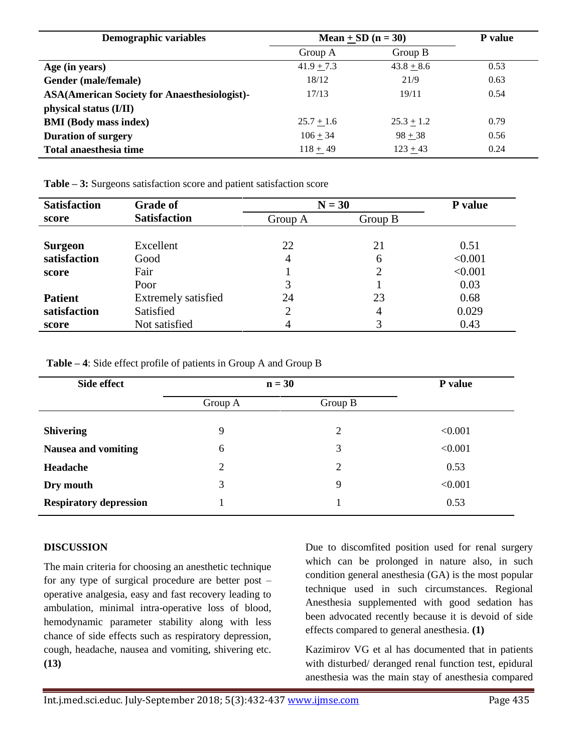| <b>Demographic variables</b>                        | Mean $+$ SD (n = 30) |              | <b>P</b> value |
|-----------------------------------------------------|----------------------|--------------|----------------|
|                                                     | Group A              | Group $B$    |                |
| Age (in years)                                      | $41.9 + 7.3$         | $43.8 + 8.6$ | 0.53           |
| Gender (male/female)                                | 18/12                | 21/9         | 0.63           |
| <b>ASA(American Society for Anaesthesiologist)-</b> | 17/13                | 19/11        | 0.54           |
| physical status (I/II)                              |                      |              |                |
| <b>BMI</b> (Body mass index)                        | $25.7 + 1.6$         | $25.3 + 1.2$ | 0.79           |
| <b>Duration of surgery</b>                          | $106 + 34$           | $98 + 38$    | 0.56           |
| Total anaesthesia time                              | $118 + 49$           | $123 + 43$   | 0.24           |

**Table – 3:** Surgeons satisfaction score and patient satisfaction score

| <b>Satisfaction</b> | <b>Grade of</b>     | $N = 30$ |                | P value |
|---------------------|---------------------|----------|----------------|---------|
| score               | <b>Satisfaction</b> | Group A  | Group B        |         |
|                     |                     |          |                |         |
| Surgeon             | Excellent           | 22       | 21             | 0.51    |
| satisfaction        | Good                | 4        | 6              | < 0.001 |
| score               | Fair                |          | $\overline{2}$ | < 0.001 |
|                     | Poor                | 3        |                | 0.03    |
| <b>Patient</b>      | Extremely satisfied | 24       | 23             | 0.68    |
| satisfaction        | Satisfied           | 2        | 4              | 0.029   |
| score               | Not satisfied       | 4        |                | 0.43    |

**Table – 4**: Side effect profile of patients in Group A and Group B

| $n = 30$ |         | P value |
|----------|---------|---------|
| Group A  | Group B |         |
| 9        | 2       | < 0.001 |
| 6        | 3       | < 0.001 |
| 2        | 2       | 0.53    |
| 3        | 9       | < 0.001 |
|          |         | 0.53    |
|          |         |         |

#### **DISCUSSION**

The main criteria for choosing an anesthetic technique for any type of surgical procedure are better post – operative analgesia, easy and fast recovery leading to ambulation, minimal intra-operative loss of blood, hemodynamic parameter stability along with less chance of side effects such as respiratory depression, cough, headache, nausea and vomiting, shivering etc. **(13)**

Due to discomfited position used for renal surgery which can be prolonged in nature also, in such condition general anesthesia (GA) is the most popular technique used in such circumstances. Regional Anesthesia supplemented with good sedation has been advocated recently because it is devoid of side effects compared to general anesthesia. **(1)**

Kazimirov VG et al has documented that in patients with disturbed/ deranged renal function test, epidural anesthesia was the main stay of anesthesia compared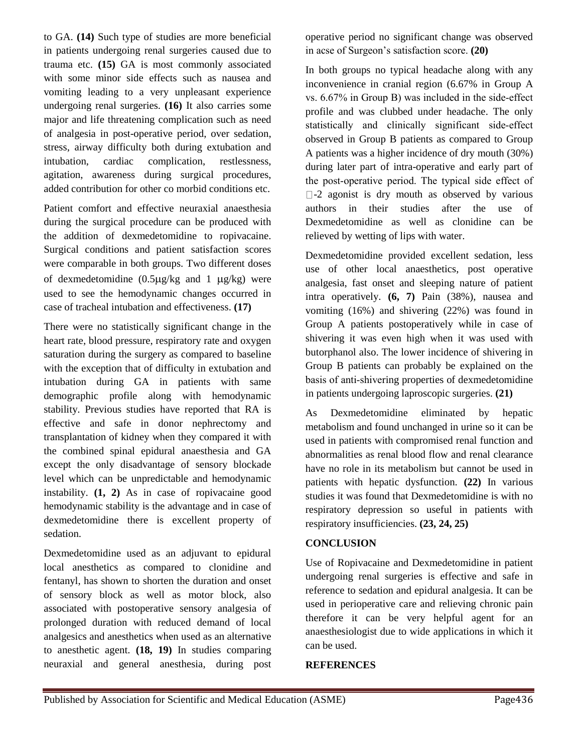to GA. **(14)** Such type of studies are more beneficial in patients undergoing renal surgeries caused due to trauma etc. **(15)** GA is most commonly associated with some minor side effects such as nausea and vomiting leading to a very unpleasant experience undergoing renal surgeries. **(16)** It also carries some major and life threatening complication such as need of analgesia in post-operative period, over sedation, stress, airway difficulty both during extubation and intubation, cardiac complication, restlessness, agitation, awareness during surgical procedures, added contribution for other co morbid conditions etc.

Patient comfort and effective neuraxial anaesthesia during the surgical procedure can be produced with the addition of dexmedetomidine to ropivacaine. Surgical conditions and patient satisfaction scores were comparable in both groups. Two different doses of dexmedetomidine  $(0.5\mu g/kg$  and  $1 \mu g/kg$  were used to see the hemodynamic changes occurred in case of tracheal intubation and effectiveness. **(17)**

There were no statistically significant change in the heart rate, blood pressure, respiratory rate and oxygen saturation during the surgery as compared to baseline with the exception that of difficulty in extubation and intubation during GA in patients with same demographic profile along with hemodynamic stability. Previous studies have reported that RA is effective and safe in donor nephrectomy and transplantation of kidney when they compared it with the combined spinal epidural anaesthesia and GA except the only disadvantage of sensory blockade level which can be unpredictable and hemodynamic instability. **(1, 2)** As in case of ropivacaine good hemodynamic stability is the advantage and in case of dexmedetomidine there is excellent property of sedation.

Dexmedetomidine used as an adjuvant to epidural local anesthetics as compared to clonidine and fentanyl, has shown to shorten the duration and onset of sensory block as well as motor block, also associated with postoperative sensory analgesia of to anesthetic agent. **(18, 19)** In studies comparing neuraxial and general anesthesia, during post operative period no significant change was observed in acse of Surgeon's satisfaction score. **(20)**

In both groups no typical headache along with any inconvenience in cranial region (6.67% in Group A vs.  $6.67\%$  in Group B) was included in the side-effect profile and was clubbed under headache. The only statistically and clinically significant side-effect observed in Group B patients as compared to Group A patients was a higher incidence of dry mouth (30%) during later part of intra-operative and early part of the post-operative period. The typical side effect of  $\square$ -2 agonist is dry mouth as observed by various authors in their studies after the use of Dexmedetomidine as well as clonidine can be relieved by wetting of lips with water.

Dexmedetomidine provided excellent sedation, less use of other local anaesthetics, post operative analgesia, fast onset and sleeping nature of patient intra operatively. **(6, 7)** Pain (38%), nausea and vomiting (16%) and shivering (22%) was found in Group A patients postoperatively while in case of shivering it was even high when it was used with butorphanol also. The lower incidence of shivering in Group B patients can probably be explained on the basis of anti‑shivering properties of dexmedetomidine in patients undergoing laproscopic surgeries. **(21)**

As Dexmedetomidine eliminated by hepatic metabolism and found unchanged in urine so it can be used in patients with compromised renal function and abnormalities as renal blood flow and renal clearance have no role in its metabolism but cannot be used in patients with hepatic dysfunction. **(22)** In various studies it was found that Dexmedetomidine is with no respiratory depression so useful in patients with respiratory insufficiencies. **(23, 24, 25)**

### **CONCLUSION**

Use of Ropivacaine and Dexmedetomidine in patient undergoing renal surgeries is effective and safe in reference to sedation and epidural analgesia. It can be used in perioperative care and relieving chronic pain therefore it can be very helpful agent for an anaesthesiologist due to wide applications in which it can be used.

#### **REFERENCES**